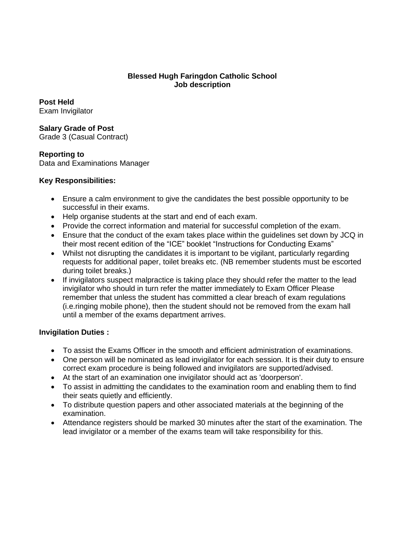### **Blessed Hugh Faringdon Catholic School Job description**

**Post Held**  Exam Invigilator

**Salary Grade of Post**  Grade 3 (Casual Contract)

**Reporting to**  Data and Examinations Manager

## **Key Responsibilities:**

- Ensure a calm environment to give the candidates the best possible opportunity to be successful in their exams.
- Help organise students at the start and end of each exam.
- Provide the correct information and material for successful completion of the exam.
- Ensure that the conduct of the exam takes place within the guidelines set down by JCQ in their most recent edition of the "ICE" booklet "Instructions for Conducting Exams"
- Whilst not disrupting the candidates it is important to be vigilant, particularly regarding requests for additional paper, toilet breaks etc. (NB remember students must be escorted during toilet breaks.)
- If invigilators suspect malpractice is taking place they should refer the matter to the lead invigilator who should in turn refer the matter immediately to Exam Officer Please remember that unless the student has committed a clear breach of exam regulations (i.e.ringing mobile phone), then the student should not be removed from the exam hall until a member of the exams department arrives.

## **Invigilation Duties :**

- To assist the Exams Officer in the smooth and efficient administration of examinations.
- One person will be nominated as lead invigilator for each session. It is their duty to ensure correct exam procedure is being followed and invigilators are supported/advised.
- At the start of an examination one invigilator should act as 'doorperson'.
- To assist in admitting the candidates to the examination room and enabling them to find their seats quietly and efficiently.
- To distribute question papers and other associated materials at the beginning of the examination.
- Attendance registers should be marked 30 minutes after the start of the examination. The lead invigilator or a member of the exams team will take responsibility for this.